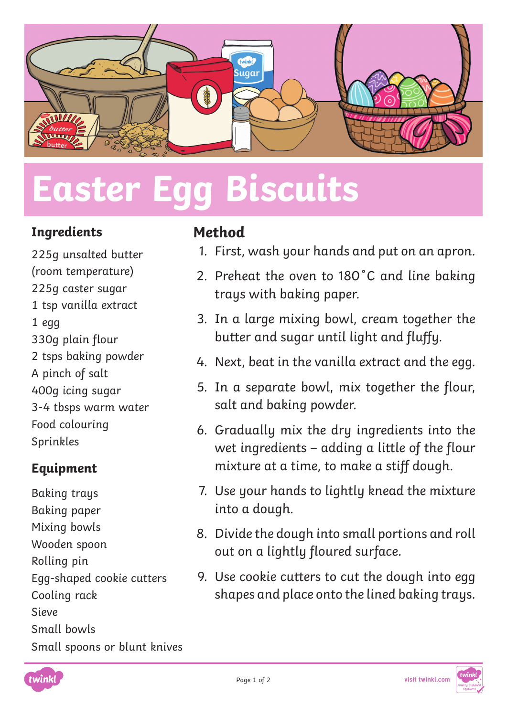

# **Easter Egg Biscuits**

#### **Ingredients**

225g unsalted butter (room temperature) 225g caster sugar 1 tsp vanilla extract 1 egg 330g plain flour 2 tsps baking powder A pinch of salt 400g icing sugar 3-4 tbsps warm water Food colouring Sprinkles

### **Equipment**

Baking trays Baking paper Mixing bowls Wooden spoon Rolling pin Egg-shaped cookie cutters Cooling rack Sieve Small bowls Small spoons or blunt knives

### **Method**

- 1. First, wash your hands and put on an apron.
- 2. Preheat the oven to 180˚C and line baking trays with baking paper.
- 3. In a large mixing bowl, cream together the butter and sugar until light and fluffy.
- 4. Next, beat in the vanilla extract and the egg.
- 5. In a separate bowl, mix together the flour, salt and baking powder.
- 6. Gradually mix the dry ingredients into the wet ingredients – adding a little of the flour mixture at a time, to make a stiff dough.
- 7. Use your hands to lightly knead the mixture into a dough.
- 8. Divide the dough into small portions and roll out on a lightly floured surface.
- 9. Use cookie cutters to cut the dough into egg shapes and place onto the lined baking trays.